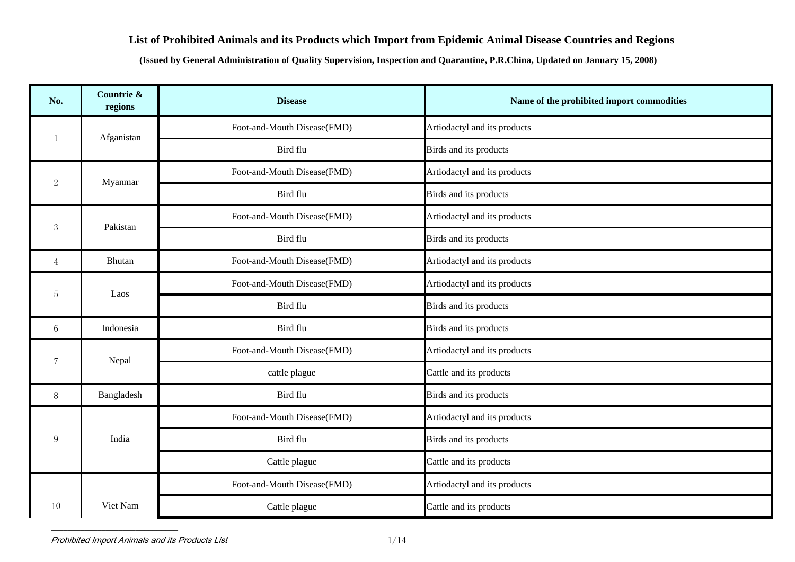## **List of Prohibited Animals and its Products which Import from Epidemic Animal Disease Countries and Regions**

**(Issued by General Administration of Quality Supervision, Inspection and Quarantine, P.R.China, Updated on January 15, 2008)** 

| No.              | Countrie &<br>regions | <b>Disease</b>              | Name of the prohibited import commodities |
|------------------|-----------------------|-----------------------------|-------------------------------------------|
| $\overline{1}$   |                       | Foot-and-Mouth Disease(FMD) | Artiodactyl and its products              |
|                  | Afganistan            | Bird flu                    | Birds and its products                    |
| $\boldsymbol{2}$ | Myanmar               | Foot-and-Mouth Disease(FMD) | Artiodactyl and its products              |
|                  |                       | Bird flu                    | Birds and its products                    |
| 3                | Pakistan              | Foot-and-Mouth Disease(FMD) | Artiodactyl and its products              |
|                  |                       | Bird flu                    | Birds and its products                    |
| $\overline{4}$   | Bhutan                | Foot-and-Mouth Disease(FMD) | Artiodactyl and its products              |
| $\overline{5}$   | Laos                  | Foot-and-Mouth Disease(FMD) | Artiodactyl and its products              |
|                  |                       | Bird flu                    | Birds and its products                    |
| $6\phantom{1}6$  | Indonesia             | Bird flu                    | Birds and its products                    |
| $\overline{7}$   | Nepal                 | Foot-and-Mouth Disease(FMD) | Artiodactyl and its products              |
|                  |                       | cattle plague               | Cattle and its products                   |
| 8                | Bangladesh            | Bird flu                    | Birds and its products                    |
|                  |                       | Foot-and-Mouth Disease(FMD) | Artiodactyl and its products              |
| 9                | India                 | Bird flu                    | Birds and its products                    |
|                  |                       | Cattle plague               | Cattle and its products                   |
|                  |                       | Foot-and-Mouth Disease(FMD) | Artiodactyl and its products              |
| 10               | Viet Nam              | Cattle plague               | Cattle and its products                   |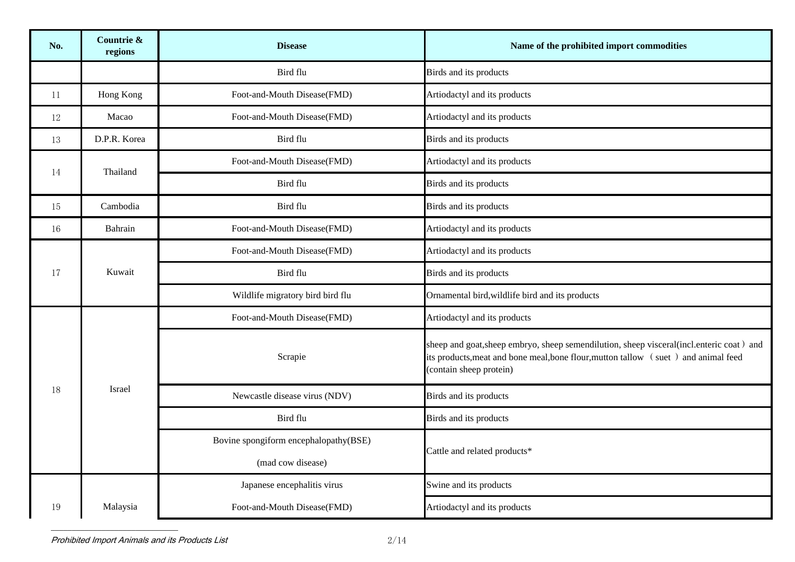| No. | Countrie &<br>regions | <b>Disease</b>                        | Name of the prohibited import commodities                                                                                                                                                                 |
|-----|-----------------------|---------------------------------------|-----------------------------------------------------------------------------------------------------------------------------------------------------------------------------------------------------------|
|     |                       | Bird flu                              | Birds and its products                                                                                                                                                                                    |
| 11  | Hong Kong             | Foot-and-Mouth Disease(FMD)           | Artiodactyl and its products                                                                                                                                                                              |
| 12  | Macao                 | Foot-and-Mouth Disease(FMD)           | Artiodactyl and its products                                                                                                                                                                              |
| 13  | D.P.R. Korea          | Bird flu                              | Birds and its products                                                                                                                                                                                    |
| 14  | Thailand              | Foot-and-Mouth Disease(FMD)           | Artiodactyl and its products                                                                                                                                                                              |
|     |                       | Bird flu                              | Birds and its products                                                                                                                                                                                    |
| 15  | Cambodia              | Bird flu                              | Birds and its products                                                                                                                                                                                    |
| 16  | Bahrain               | Foot-and-Mouth Disease(FMD)           | Artiodactyl and its products                                                                                                                                                                              |
|     | Kuwait                | Foot-and-Mouth Disease(FMD)           | Artiodactyl and its products                                                                                                                                                                              |
| 17  |                       | Bird flu                              | Birds and its products                                                                                                                                                                                    |
|     |                       | Wildlife migratory bird bird flu      | Ornamental bird, wildlife bird and its products                                                                                                                                                           |
|     |                       | Foot-and-Mouth Disease(FMD)           | Artiodactyl and its products                                                                                                                                                                              |
|     |                       | Scrapie                               | sheep and goat, sheep embryo, sheep semendilution, sheep visceral(incl.enteric coat) and<br>its products, meat and bone meal, bone flour, mutton tallow (suet) and animal feed<br>(contain sheep protein) |
| 18  | Israel                | Newcastle disease virus (NDV)         | Birds and its products                                                                                                                                                                                    |
|     |                       | Bird flu                              | Birds and its products                                                                                                                                                                                    |
|     |                       | Bovine spongiform encephalopathy(BSE) | Cattle and related products*                                                                                                                                                                              |
|     |                       | (mad cow disease)                     |                                                                                                                                                                                                           |
|     |                       | Japanese encephalitis virus           | Swine and its products                                                                                                                                                                                    |
| 19  | Malaysia              | Foot-and-Mouth Disease(FMD)           | Artiodactyl and its products                                                                                                                                                                              |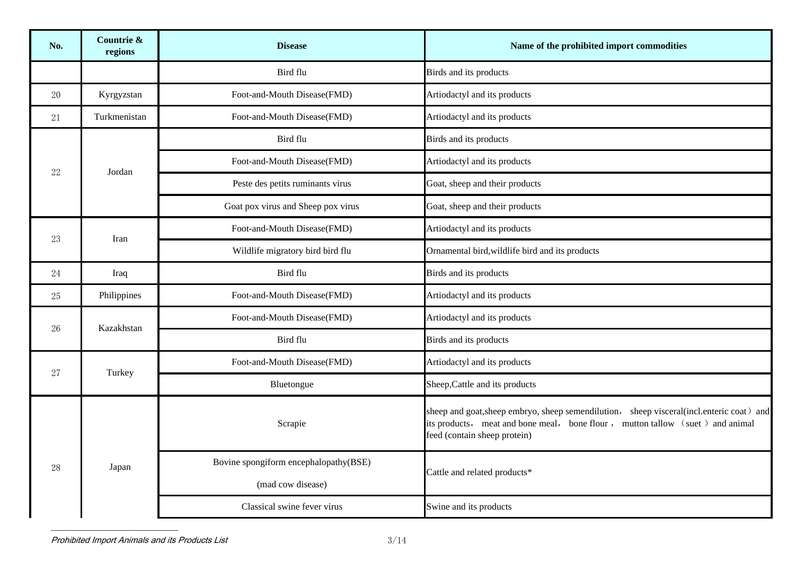| No. | Countrie &<br>regions | <b>Disease</b>                        | Name of the prohibited import commodities                                                                                                                                                                   |
|-----|-----------------------|---------------------------------------|-------------------------------------------------------------------------------------------------------------------------------------------------------------------------------------------------------------|
|     |                       | Bird flu                              | Birds and its products                                                                                                                                                                                      |
| 20  | Kyrgyzstan            | Foot-and-Mouth Disease(FMD)           | Artiodactyl and its products                                                                                                                                                                                |
| 21  | Turkmenistan          | Foot-and-Mouth Disease(FMD)           | Artiodactyl and its products                                                                                                                                                                                |
|     |                       | Bird flu                              | Birds and its products                                                                                                                                                                                      |
| 22  | Jordan                | Foot-and-Mouth Disease(FMD)           | Artiodactyl and its products                                                                                                                                                                                |
|     |                       | Peste des petits ruminants virus      | Goat, sheep and their products                                                                                                                                                                              |
|     |                       | Goat pox virus and Sheep pox virus    | Goat, sheep and their products                                                                                                                                                                              |
| 23  | Iran                  | Foot-and-Mouth Disease(FMD)           | Artiodactyl and its products                                                                                                                                                                                |
|     |                       | Wildlife migratory bird bird flu      | Ornamental bird, wildlife bird and its products                                                                                                                                                             |
| 24  | Iraq                  | Bird flu                              | Birds and its products                                                                                                                                                                                      |
| 25  | Philippines           | Foot-and-Mouth Disease(FMD)           | Artiodactyl and its products                                                                                                                                                                                |
| 26  | Kazakhstan            | Foot-and-Mouth Disease(FMD)           | Artiodactyl and its products                                                                                                                                                                                |
|     |                       | Bird flu                              | Birds and its products                                                                                                                                                                                      |
| 27  | Turkey                | Foot-and-Mouth Disease(FMD)           | Artiodactyl and its products                                                                                                                                                                                |
|     |                       | Bluetongue                            | Sheep, Cattle and its products                                                                                                                                                                              |
| 28  |                       | Scrapie                               | sheep and goat, sheep embryo, sheep semendilution, sheep visceral (incl. enteric coat) and<br>its products, meat and bone meal, bone flour, mutton tallow (suet) and animal<br>feed (contain sheep protein) |
|     | Japan                 | Bovine spongiform encephalopathy(BSE) | Cattle and related products*                                                                                                                                                                                |
|     |                       | (mad cow disease)                     |                                                                                                                                                                                                             |
|     |                       | Classical swine fever virus           | Swine and its products                                                                                                                                                                                      |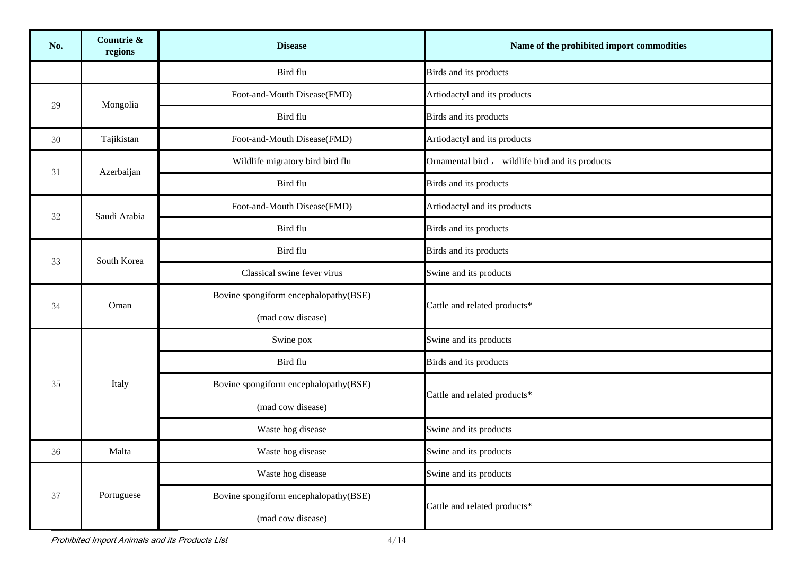| No.    | Countrie &<br>regions | <b>Disease</b>                                             | Name of the prohibited import commodities       |
|--------|-----------------------|------------------------------------------------------------|-------------------------------------------------|
|        |                       | Bird flu                                                   | Birds and its products                          |
| 29     | Mongolia              | Foot-and-Mouth Disease(FMD)                                | Artiodactyl and its products                    |
|        |                       | Bird flu                                                   | Birds and its products                          |
| 30     | Tajikistan            | Foot-and-Mouth Disease(FMD)                                | Artiodactyl and its products                    |
| 31     | Azerbaijan            | Wildlife migratory bird bird flu                           | Ornamental bird, wildlife bird and its products |
|        |                       | Bird flu                                                   | Birds and its products                          |
| 32     | Saudi Arabia          | Foot-and-Mouth Disease(FMD)                                | Artiodactyl and its products                    |
|        |                       | Bird flu                                                   | Birds and its products                          |
| 33     | South Korea           | Bird flu                                                   | Birds and its products                          |
|        |                       | Classical swine fever virus                                | Swine and its products                          |
| 34     | Oman                  | Bovine spongiform encephalopathy(BSE)                      | Cattle and related products*                    |
|        |                       | (mad cow disease)                                          |                                                 |
|        | Italy                 | Swine pox                                                  | Swine and its products                          |
|        |                       | Bird flu                                                   | Birds and its products                          |
| 35     |                       | Bovine spongiform encephalopathy(BSE)                      | Cattle and related products*                    |
|        |                       | (mad cow disease)                                          |                                                 |
|        |                       | Waste hog disease                                          | Swine and its products                          |
| $36\,$ | Malta                 | Waste hog disease                                          | Swine and its products                          |
|        |                       | Waste hog disease                                          | Swine and its products                          |
| 37     | Portuguese            | Bovine spongiform encephalopathy(BSE)<br>(mad cow disease) | Cattle and related products*                    |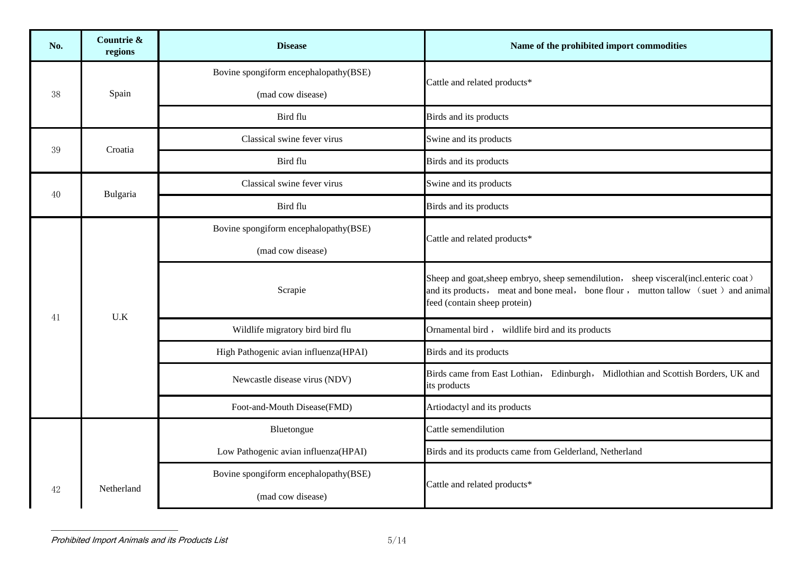| No. | Countrie &<br>regions | <b>Disease</b>                        | Name of the prohibited import commodities                                                                                                                                                                  |
|-----|-----------------------|---------------------------------------|------------------------------------------------------------------------------------------------------------------------------------------------------------------------------------------------------------|
|     |                       | Bovine spongiform encephalopathy(BSE) | Cattle and related products*                                                                                                                                                                               |
| 38  | Spain                 | (mad cow disease)                     |                                                                                                                                                                                                            |
|     |                       | Bird flu                              | Birds and its products                                                                                                                                                                                     |
| 39  | Croatia               | Classical swine fever virus           | Swine and its products                                                                                                                                                                                     |
|     |                       | Bird flu                              | Birds and its products                                                                                                                                                                                     |
|     |                       | Classical swine fever virus           | Swine and its products                                                                                                                                                                                     |
| 40  | Bulgaria              | Bird flu                              | Birds and its products                                                                                                                                                                                     |
|     |                       | Bovine spongiform encephalopathy(BSE) | Cattle and related products*                                                                                                                                                                               |
|     | U.K                   | (mad cow disease)                     |                                                                                                                                                                                                            |
| 41  |                       | Scrapie                               | Sheep and goat, sheep embryo, sheep semendilution, sheep visceral (incl.enteric coat)<br>and its products, meat and bone meal, bone flour, mutton tallow (suet) and animal<br>feed (contain sheep protein) |
|     |                       | Wildlife migratory bird bird flu      | Ornamental bird, wildlife bird and its products                                                                                                                                                            |
|     |                       | High Pathogenic avian influenza(HPAI) | Birds and its products                                                                                                                                                                                     |
|     |                       | Newcastle disease virus (NDV)         | Birds came from East Lothian, Edinburgh, Midlothian and Scottish Borders, UK and<br>its products                                                                                                           |
|     |                       | Foot-and-Mouth Disease(FMD)           | Artiodactyl and its products                                                                                                                                                                               |
|     |                       | Bluetongue                            | Cattle semendilution                                                                                                                                                                                       |
|     |                       | Low Pathogenic avian influenza(HPAI)  | Birds and its products came from Gelderland, Netherland                                                                                                                                                    |
|     |                       | Bovine spongiform encephalopathy(BSE) | Cattle and related products*                                                                                                                                                                               |
| 42  | Netherland            | (mad cow disease)                     |                                                                                                                                                                                                            |

Prohibited Import Animals and its Products List 600 minutes of the state 5/14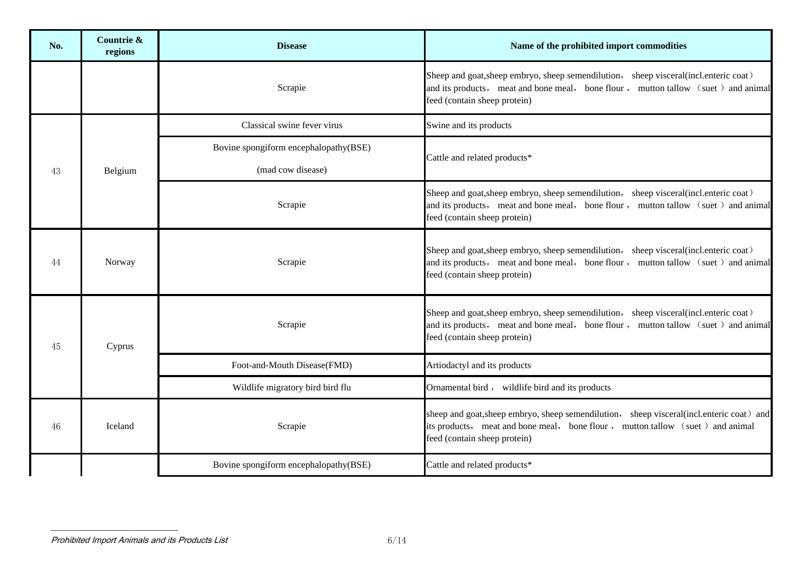| No. | Countrie &<br>regions | <b>Disease</b>                                             | Name of the prohibited import commodities                                                                                                                                                                   |
|-----|-----------------------|------------------------------------------------------------|-------------------------------------------------------------------------------------------------------------------------------------------------------------------------------------------------------------|
|     |                       | Scrapie                                                    | Sheep and goat, sheep embryo, sheep semendilution, sheep visceral (incl.enteric coat)<br>and its products, meat and bone meal, bone flour, mutton tallow (suet) and animal<br>feed (contain sheep protein)  |
|     |                       | Classical swine fever virus                                | Swine and its products                                                                                                                                                                                      |
| 43  | Belgium               | Bovine spongiform encephalopathy(BSE)<br>(mad cow disease) | Cattle and related products*                                                                                                                                                                                |
|     |                       | Scrapie                                                    | Sheep and goat, sheep embryo, sheep semendilution, sheep visceral (incl.enteric coat)<br>and its products, meat and bone meal, bone flour, mutton tallow (suet) and animal<br>feed (contain sheep protein)  |
| 44  | Norway                | Scrapie                                                    | Sheep and goat, sheep embryo, sheep semendilution, sheep visceral (incl. enteric coat)<br>and its products, meat and bone meal, bone flour, mutton tallow (suet) and animal<br>feed (contain sheep protein) |
| 45  | Cyprus                | Scrapie                                                    | Sheep and goat, sheep embryo, sheep semendilution, sheep visceral (incl. enteric coat)<br>and its products, meat and bone meal, bone flour, mutton tallow (suet) and animal<br>feed (contain sheep protein) |
|     |                       | Foot-and-Mouth Disease(FMD)                                | Artiodactyl and its products                                                                                                                                                                                |
|     |                       | Wildlife migratory bird bird flu                           | Ornamental bird, wildlife bird and its products                                                                                                                                                             |
| 46  | Iceland               | Scrapie                                                    | sheep and goat, sheep embryo, sheep semendilution, sheep visceral(incl.enteric coat) and<br>its products, meat and bone meal, bone flour, mutton tallow (suet) and animal<br>feed (contain sheep protein)   |
|     |                       | Bovine spongiform encephalopathy(BSE)                      | Cattle and related products*                                                                                                                                                                                |

Prohibited Import Animals and its Products List 6/14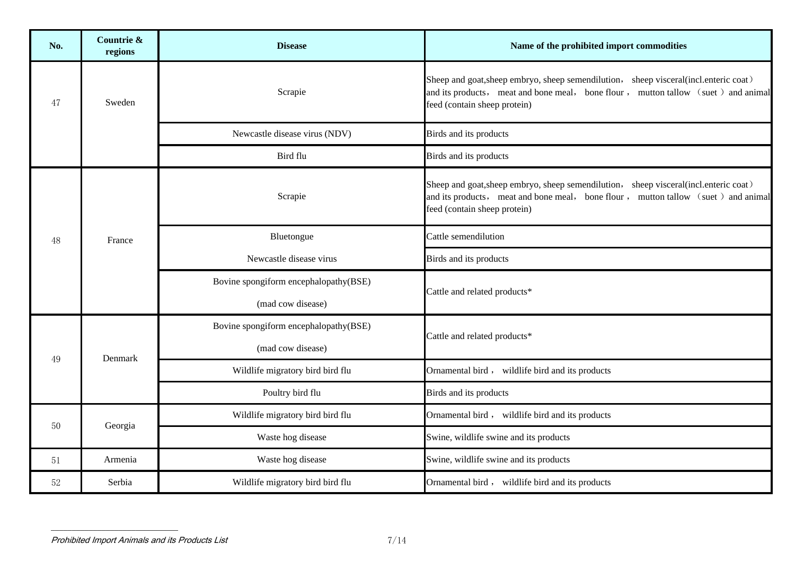| No. | Countrie &<br>regions | <b>Disease</b>                                             | Name of the prohibited import commodities                                                                                                                                                                   |
|-----|-----------------------|------------------------------------------------------------|-------------------------------------------------------------------------------------------------------------------------------------------------------------------------------------------------------------|
| 47  | Sweden                | Scrapie                                                    | Sheep and goat, sheep embryo, sheep semendilution, sheep visceral (incl. enteric coat)<br>and its products, meat and bone meal, bone flour, mutton tallow (suet) and animal<br>feed (contain sheep protein) |
|     |                       | Newcastle disease virus (NDV)                              | Birds and its products                                                                                                                                                                                      |
|     |                       | Bird flu                                                   | Birds and its products                                                                                                                                                                                      |
|     |                       | Scrapie                                                    | Sheep and goat, sheep embryo, sheep semendilution, sheep visceral (incl.enteric coat)<br>and its products, meat and bone meal, bone flour, mutton tallow (suet) and animal<br>feed (contain sheep protein)  |
| 48  | France                | Bluetongue                                                 | Cattle semendilution                                                                                                                                                                                        |
|     |                       | Newcastle disease virus                                    | Birds and its products                                                                                                                                                                                      |
|     |                       | Bovine spongiform encephalopathy(BSE)                      | Cattle and related products*                                                                                                                                                                                |
|     |                       | (mad cow disease)                                          |                                                                                                                                                                                                             |
|     |                       | Bovine spongiform encephalopathy(BSE)<br>(mad cow disease) | Cattle and related products*                                                                                                                                                                                |
| 49  | Denmark               | Wildlife migratory bird bird flu                           | Ornamental bird, wildlife bird and its products                                                                                                                                                             |
|     |                       | Poultry bird flu                                           | Birds and its products                                                                                                                                                                                      |
|     |                       | Wildlife migratory bird bird flu                           | Ornamental bird, wildlife bird and its products                                                                                                                                                             |
| 50  | Georgia               | Waste hog disease                                          | Swine, wildlife swine and its products                                                                                                                                                                      |
| 51  | Armenia               | Waste hog disease                                          | Swine, wildlife swine and its products                                                                                                                                                                      |
| 52  | Serbia                | Wildlife migratory bird bird flu                           | Ornamental bird, wildlife bird and its products                                                                                                                                                             |

Prohibited Import Animals and its Products List 7/14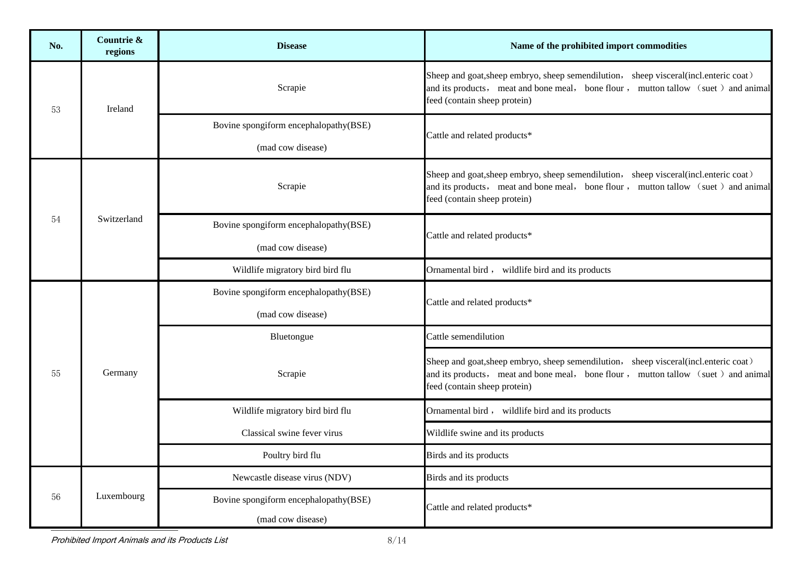| No. | Countrie &<br>regions | <b>Disease</b>                                             | Name of the prohibited import commodities                                                                                                                                                                   |
|-----|-----------------------|------------------------------------------------------------|-------------------------------------------------------------------------------------------------------------------------------------------------------------------------------------------------------------|
| 53  | Ireland               | Scrapie                                                    | Sheep and goat, sheep embryo, sheep semendilution, sheep visceral (incl.enteric coat)<br>and its products, meat and bone meal, bone flour, mutton tallow (suet) and animal<br>feed (contain sheep protein)  |
|     |                       | Bovine spongiform encephalopathy(BSE)<br>(mad cow disease) | Cattle and related products*                                                                                                                                                                                |
|     |                       | Scrapie                                                    | Sheep and goat, sheep embryo, sheep semendilution, sheep visceral (incl.enteric coat)<br>and its products, meat and bone meal, bone flour, mutton tallow (suet) and animal<br>feed (contain sheep protein)  |
| 54  | Switzerland           | Bovine spongiform encephalopathy(BSE)<br>(mad cow disease) | Cattle and related products*                                                                                                                                                                                |
|     |                       | Wildlife migratory bird bird flu                           | Ornamental bird, wildlife bird and its products                                                                                                                                                             |
|     | Germany               | Bovine spongiform encephalopathy(BSE)                      | Cattle and related products*                                                                                                                                                                                |
|     |                       | (mad cow disease)                                          |                                                                                                                                                                                                             |
|     |                       | Bluetongue                                                 | Cattle semendilution                                                                                                                                                                                        |
| 55  |                       | Scrapie                                                    | Sheep and goat, sheep embryo, sheep semendilution, sheep visceral (incl. enteric coat)<br>and its products, meat and bone meal, bone flour, mutton tallow (suet) and animal<br>feed (contain sheep protein) |
|     |                       | Wildlife migratory bird bird flu                           | Ornamental bird, wildlife bird and its products                                                                                                                                                             |
|     |                       | Classical swine fever virus                                | Wildlife swine and its products                                                                                                                                                                             |
|     |                       | Poultry bird flu                                           | Birds and its products                                                                                                                                                                                      |
|     |                       | Newcastle disease virus (NDV)                              | Birds and its products                                                                                                                                                                                      |
| 56  | Luxembourg            | Bovine spongiform encephalopathy(BSE)<br>(mad cow disease) | Cattle and related products*                                                                                                                                                                                |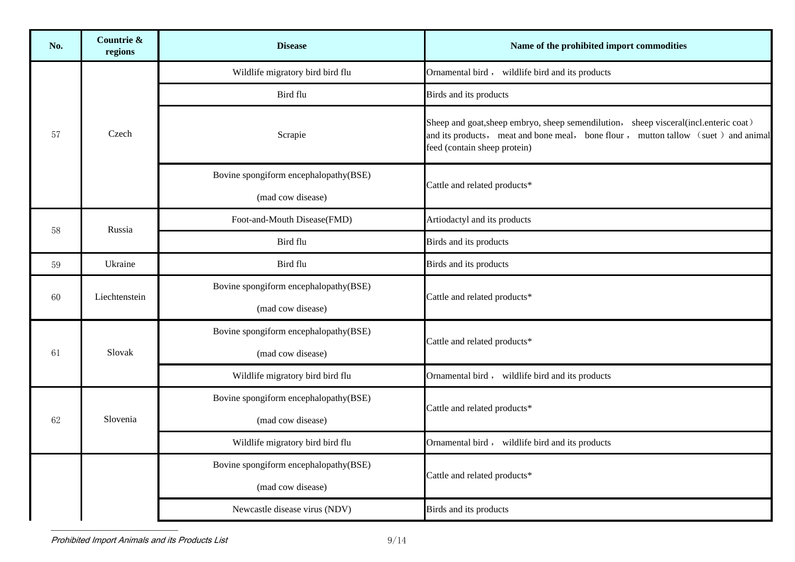| No. | Countrie &<br>regions | <b>Disease</b>                        | Name of the prohibited import commodities                                                                                                                                                                  |
|-----|-----------------------|---------------------------------------|------------------------------------------------------------------------------------------------------------------------------------------------------------------------------------------------------------|
|     |                       | Wildlife migratory bird bird flu      | Ornamental bird, wildlife bird and its products                                                                                                                                                            |
|     |                       | Bird flu                              | Birds and its products                                                                                                                                                                                     |
| 57  | Czech                 | Scrapie                               | Sheep and goat, sheep embryo, sheep semendilution, sheep visceral (incl.enteric coat)<br>and its products, meat and bone meal, bone flour, mutton tallow (suet) and animal<br>feed (contain sheep protein) |
|     |                       | Bovine spongiform encephalopathy(BSE) | Cattle and related products*                                                                                                                                                                               |
|     |                       | (mad cow disease)                     |                                                                                                                                                                                                            |
| 58  | Russia                | Foot-and-Mouth Disease(FMD)           | Artiodactyl and its products                                                                                                                                                                               |
|     |                       | Bird flu                              | Birds and its products                                                                                                                                                                                     |
| 59  | Ukraine               | Bird flu                              | Birds and its products                                                                                                                                                                                     |
| 60  | Liechtenstein         | Bovine spongiform encephalopathy(BSE) | Cattle and related products*                                                                                                                                                                               |
|     |                       | (mad cow disease)                     |                                                                                                                                                                                                            |
|     | Slovak                | Bovine spongiform encephalopathy(BSE) | Cattle and related products*                                                                                                                                                                               |
| 61  |                       | (mad cow disease)                     |                                                                                                                                                                                                            |
|     |                       | Wildlife migratory bird bird flu      | Ornamental bird, wildlife bird and its products                                                                                                                                                            |
|     |                       | Bovine spongiform encephalopathy(BSE) | Cattle and related products*                                                                                                                                                                               |
| 62  | Slovenia              | (mad cow disease)                     |                                                                                                                                                                                                            |
|     |                       | Wildlife migratory bird bird flu      | Ornamental bird, wildlife bird and its products                                                                                                                                                            |
|     |                       | Bovine spongiform encephalopathy(BSE) | Cattle and related products*                                                                                                                                                                               |
|     |                       | (mad cow disease)                     |                                                                                                                                                                                                            |
|     |                       | Newcastle disease virus (NDV)         | Birds and its products                                                                                                                                                                                     |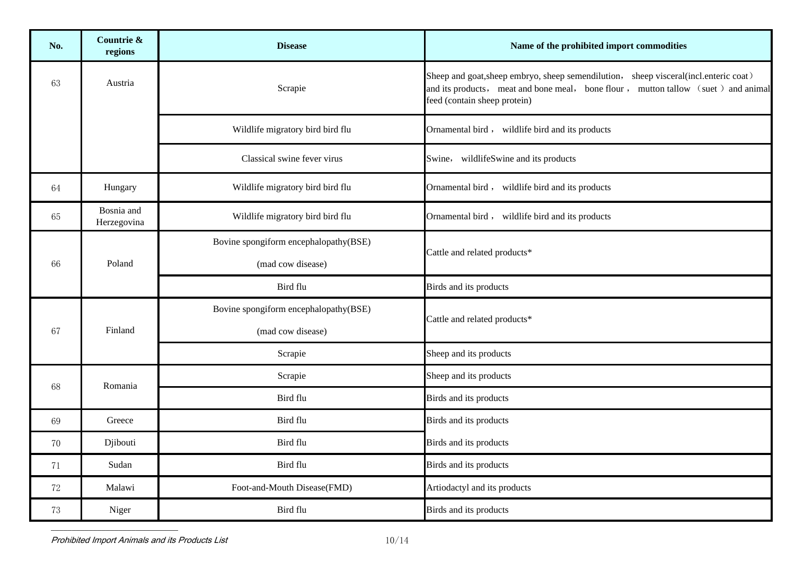| No. | Countrie &<br>regions     | <b>Disease</b>                                             | Name of the prohibited import commodities                                                                                                                                                                   |
|-----|---------------------------|------------------------------------------------------------|-------------------------------------------------------------------------------------------------------------------------------------------------------------------------------------------------------------|
| 63  | Austria                   | Scrapie                                                    | Sheep and goat, sheep embryo, sheep semendilution, sheep visceral (incl. enteric coat)<br>and its products, meat and bone meal, bone flour, mutton tallow (suet) and animal<br>feed (contain sheep protein) |
|     |                           | Wildlife migratory bird bird flu                           | Ornamental bird, wildlife bird and its products                                                                                                                                                             |
|     |                           | Classical swine fever virus                                | Swine, wildlifeSwine and its products                                                                                                                                                                       |
| 64  | Hungary                   | Wildlife migratory bird bird flu                           | Ornamental bird, wildlife bird and its products                                                                                                                                                             |
| 65  | Bosnia and<br>Herzegovina | Wildlife migratory bird bird flu                           | Ornamental bird, wildlife bird and its products                                                                                                                                                             |
| 66  | Poland                    | Bovine spongiform encephalopathy(BSE)<br>(mad cow disease) | Cattle and related products*                                                                                                                                                                                |
|     |                           | Bird flu                                                   | Birds and its products                                                                                                                                                                                      |
| 67  | Finland                   | Bovine spongiform encephalopathy(BSE)<br>(mad cow disease) | Cattle and related products*                                                                                                                                                                                |
|     |                           | Scrapie                                                    | Sheep and its products                                                                                                                                                                                      |
| 68  | Romania                   | Scrapie                                                    | Sheep and its products                                                                                                                                                                                      |
|     |                           | Bird flu                                                   | Birds and its products                                                                                                                                                                                      |
| 69  | Greece                    | Bird flu                                                   | Birds and its products                                                                                                                                                                                      |
| 70  | Djibouti                  | Bird flu                                                   | Birds and its products                                                                                                                                                                                      |
| 71  | Sudan                     | Bird flu                                                   | Birds and its products                                                                                                                                                                                      |
| 72  | Malawi                    | Foot-and-Mouth Disease(FMD)                                | Artiodactyl and its products                                                                                                                                                                                |
| 73  | Niger                     | Bird flu                                                   | Birds and its products                                                                                                                                                                                      |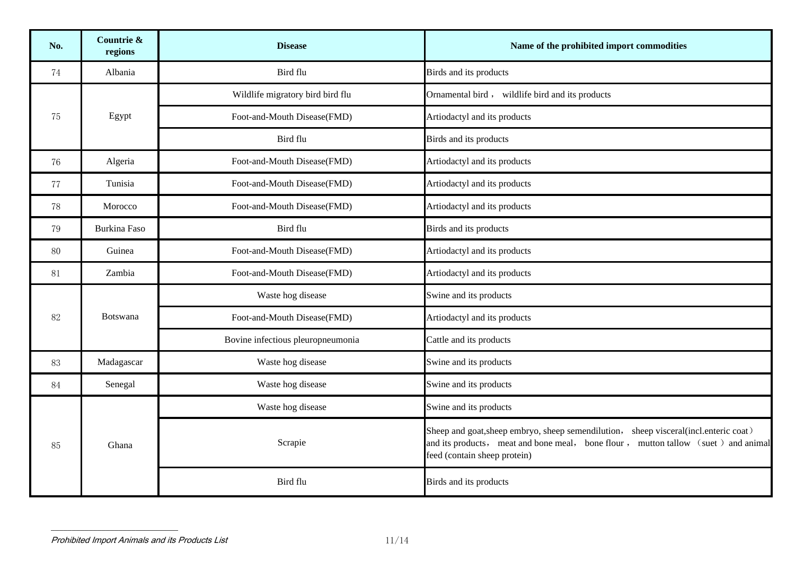| No. | Countrie &<br>regions | <b>Disease</b>                    | Name of the prohibited import commodities                                                                                                                                                                 |
|-----|-----------------------|-----------------------------------|-----------------------------------------------------------------------------------------------------------------------------------------------------------------------------------------------------------|
| 74  | Albania               | Bird flu                          | Birds and its products                                                                                                                                                                                    |
|     |                       | Wildlife migratory bird bird flu  | Ornamental bird, wildlife bird and its products                                                                                                                                                           |
| 75  | Egypt                 | Foot-and-Mouth Disease(FMD)       | Artiodactyl and its products                                                                                                                                                                              |
|     |                       | Bird flu                          | Birds and its products                                                                                                                                                                                    |
| 76  | Algeria               | Foot-and-Mouth Disease(FMD)       | Artiodactyl and its products                                                                                                                                                                              |
| 77  | Tunisia               | Foot-and-Mouth Disease(FMD)       | Artiodactyl and its products                                                                                                                                                                              |
| 78  | Morocco               | Foot-and-Mouth Disease(FMD)       | Artiodactyl and its products                                                                                                                                                                              |
| 79  | <b>Burkina Faso</b>   | Bird flu                          | Birds and its products                                                                                                                                                                                    |
| 80  | Guinea                | Foot-and-Mouth Disease(FMD)       | Artiodactyl and its products                                                                                                                                                                              |
| 81  | Zambia                | Foot-and-Mouth Disease(FMD)       | Artiodactyl and its products                                                                                                                                                                              |
|     | <b>Botswana</b>       | Waste hog disease                 | Swine and its products                                                                                                                                                                                    |
| 82  |                       | Foot-and-Mouth Disease(FMD)       | Artiodactyl and its products                                                                                                                                                                              |
|     |                       | Bovine infectious pleuropneumonia | Cattle and its products                                                                                                                                                                                   |
| 83  | Madagascar            | Waste hog disease                 | Swine and its products                                                                                                                                                                                    |
| 84  | Senegal               | Waste hog disease                 | Swine and its products                                                                                                                                                                                    |
|     |                       | Waste hog disease                 | Swine and its products                                                                                                                                                                                    |
| 85  | Ghana                 | Scrapie                           | Sheep and goat, sheep embryo, sheep semendilution, sheep visceral(incl.enteric coat)<br>and its products, meat and bone meal, bone flour, mutton tallow (suet) and animal<br>feed (contain sheep protein) |
|     |                       | Bird flu                          | Birds and its products                                                                                                                                                                                    |

Prohibited Import Animals and its Products List 11/14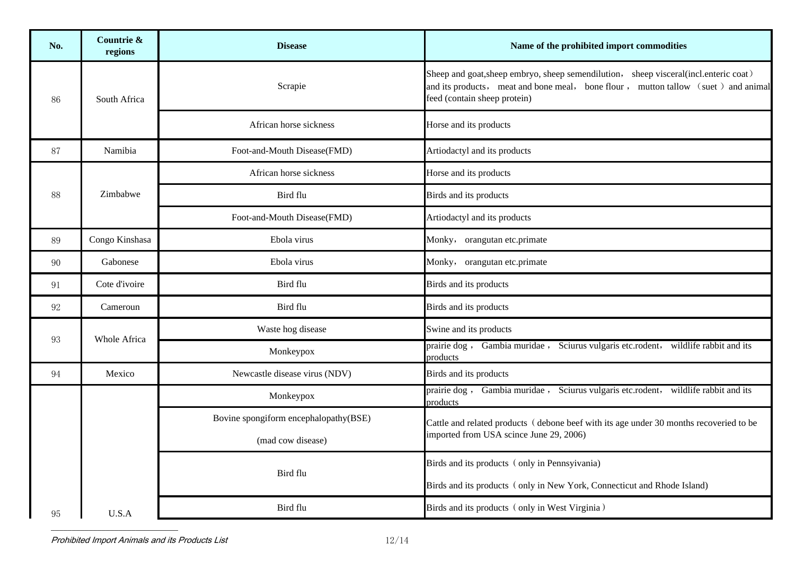| No. | Countrie &<br>regions | <b>Disease</b>                        | Name of the prohibited import commodities                                                                                                                                                                  |
|-----|-----------------------|---------------------------------------|------------------------------------------------------------------------------------------------------------------------------------------------------------------------------------------------------------|
| 86  | South Africa          | Scrapie                               | Sheep and goat, sheep embryo, sheep semendilution, sheep visceral (incl.enteric coat)<br>and its products, meat and bone meal, bone flour, mutton tallow (suet) and animal<br>feed (contain sheep protein) |
|     |                       | African horse sickness                | Horse and its products                                                                                                                                                                                     |
| 87  | Namibia               | Foot-and-Mouth Disease(FMD)           | Artiodactyl and its products                                                                                                                                                                               |
|     |                       | African horse sickness                | Horse and its products                                                                                                                                                                                     |
| 88  | Zimbabwe              | Bird flu                              | Birds and its products                                                                                                                                                                                     |
|     |                       | Foot-and-Mouth Disease(FMD)           | Artiodactyl and its products                                                                                                                                                                               |
| 89  | Congo Kinshasa        | Ebola virus                           | Monky, orangutan etc.primate                                                                                                                                                                               |
| 90  | Gabonese              | Ebola virus                           | Monky, orangutan etc.primate                                                                                                                                                                               |
| 91  | Cote d'ivoire         | Bird flu                              | Birds and its products                                                                                                                                                                                     |
| 92  | Cameroun              | Bird flu                              | Birds and its products                                                                                                                                                                                     |
| 93  | Whole Africa          | Waste hog disease                     | Swine and its products                                                                                                                                                                                     |
|     |                       | Monkeypox                             | prairie dog, Gambia muridae, Sciurus vulgaris etc.rodent, wildlife rabbit and its<br>products                                                                                                              |
| 94  | Mexico                | Newcastle disease virus (NDV)         | Birds and its products                                                                                                                                                                                     |
|     |                       | Monkeypox                             | prairie dog, Gambia muridae, Sciurus vulgaris etc.rodent, wildlife rabbit and its<br>products                                                                                                              |
|     |                       | Bovine spongiform encephalopathy(BSE) | Cattle and related products (debone beef with its age under 30 months recoveried to be                                                                                                                     |
|     |                       | (mad cow disease)                     | imported from USA scince June 29, 2006)                                                                                                                                                                    |
|     |                       | Bird flu                              | Birds and its products (only in Pennsyivania)                                                                                                                                                              |
|     |                       |                                       | Birds and its products (only in New York, Connecticut and Rhode Island)                                                                                                                                    |
| 95  | U.S.A                 | Bird flu                              | Birds and its products (only in West Virginia)                                                                                                                                                             |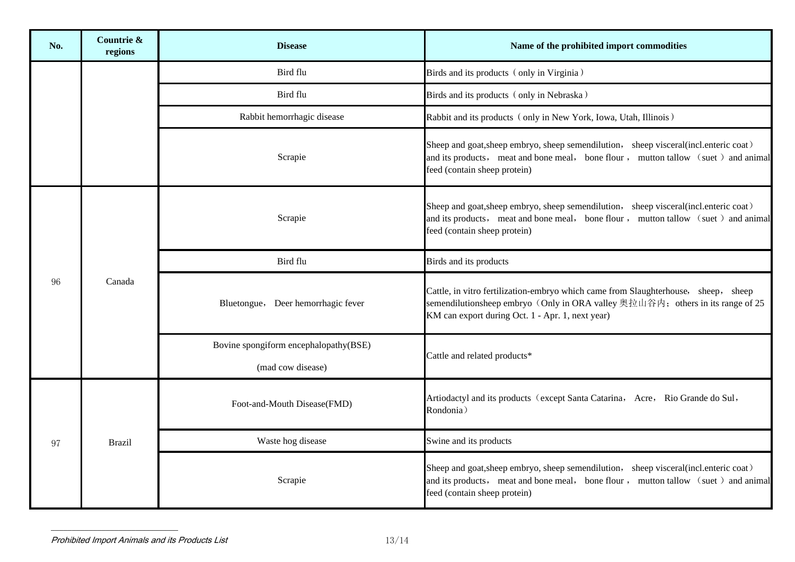| No. | Countrie &<br>regions | <b>Disease</b>                                             | Name of the prohibited import commodities                                                                                                                                                                                |
|-----|-----------------------|------------------------------------------------------------|--------------------------------------------------------------------------------------------------------------------------------------------------------------------------------------------------------------------------|
|     |                       | Bird flu                                                   | Birds and its products (only in Virginia)                                                                                                                                                                                |
|     |                       | Bird flu                                                   | Birds and its products (only in Nebraska)                                                                                                                                                                                |
|     |                       | Rabbit hemorrhagic disease                                 | Rabbit and its products (only in New York, Iowa, Utah, Illinois)                                                                                                                                                         |
|     |                       | Scrapie                                                    | Sheep and goat, sheep embryo, sheep semendilution, sheep visceral (incl.enteric coat)<br>and its products, meat and bone meal, bone flour, mutton tallow (suet) and animal<br>feed (contain sheep protein)               |
| 96  | Canada                | Scrapie                                                    | Sheep and goat, sheep embryo, sheep semendilution, sheep visceral (incl. enteric coat)<br>and its products, meat and bone meal, bone flour, mutton tallow (suet) and animal<br>feed (contain sheep protein)              |
|     |                       | Bird flu                                                   | Birds and its products                                                                                                                                                                                                   |
|     |                       | Bluetongue, Deer hemorrhagic fever                         | Cattle, in vitro fertilization-embryo which came from Slaughterhouse, sheep, sheep<br>semendilutionsheep embryo (Only in ORA valley 奥拉山谷内; others in its range of 25<br>KM can export during Oct. 1 - Apr. 1, next year) |
|     |                       | Bovine spongiform encephalopathy(BSE)<br>(mad cow disease) | Cattle and related products*                                                                                                                                                                                             |
| 97  | <b>Brazil</b>         | Foot-and-Mouth Disease(FMD)                                | Artiodactyl and its products (except Santa Catarina, Acre, Rio Grande do Sul,<br>Rondonia)                                                                                                                               |
|     |                       | Waste hog disease                                          | Swine and its products                                                                                                                                                                                                   |
|     |                       | Scrapie                                                    | Sheep and goat, sheep embryo, sheep semendilution, sheep visceral (incl.enteric coat)<br>and its products, meat and bone meal, bone flour, mutton tallow (suet) and animal<br>feed (contain sheep protein)               |